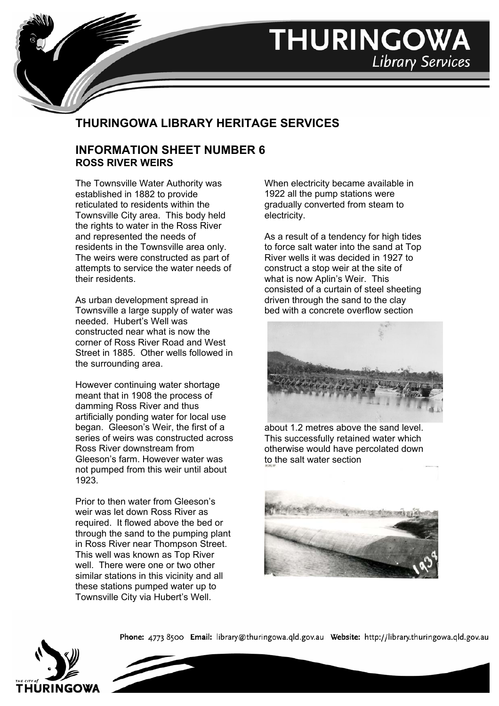

## **THURINGOWA LIBRARY HERITAGE SERVICES**

## **INFORMATION SHEET NUMBER 6 ROSS RIVER WEIRS**

The Townsville Water Authority was established in 1882 to provide reticulated to residents within the Townsville City area. This body held the rights to water in the Ross River and represented the needs of residents in the Townsville area only. The weirs were constructed as part of attempts to service the water needs of their residents.

As urban development spread in Townsville a large supply of water was needed. Hubert's Well was constructed near what is now the corner of Ross River Road and West Street in 1885. Other wells followed in the surrounding area.

However continuing water shortage meant that in 1908 the process of damming Ross River and thus artificially ponding water for local use began. Gleeson's Weir, the first of a series of weirs was constructed across Ross River downstream from Gleeson's farm. However water was not pumped from this weir until about 1923.

Prior to then water from Gleeson's weir was let down Ross River as required. It flowed above the bed or through the sand to the pumping plant in Ross River near Thompson Street. This well was known as Top River well. There were one or two other similar stations in this vicinity and all these stations pumped water up to Townsville City via Hubert's Well.

When electricity became available in 1922 all the pump stations were gradually converted from steam to electricity.

**THURINGOWA** 

**Library Services** 

As a result of a tendency for high tides to force salt water into the sand at Top River wells it was decided in 1927 to construct a stop weir at the site of what is now Aplin's Weir. This consisted of a curtain of steel sheeting driven through the sand to the clay bed with a concrete overflow section



about 1.2 metres above the sand level. This successfully retained water which otherwise would have percolated down to the salt water section